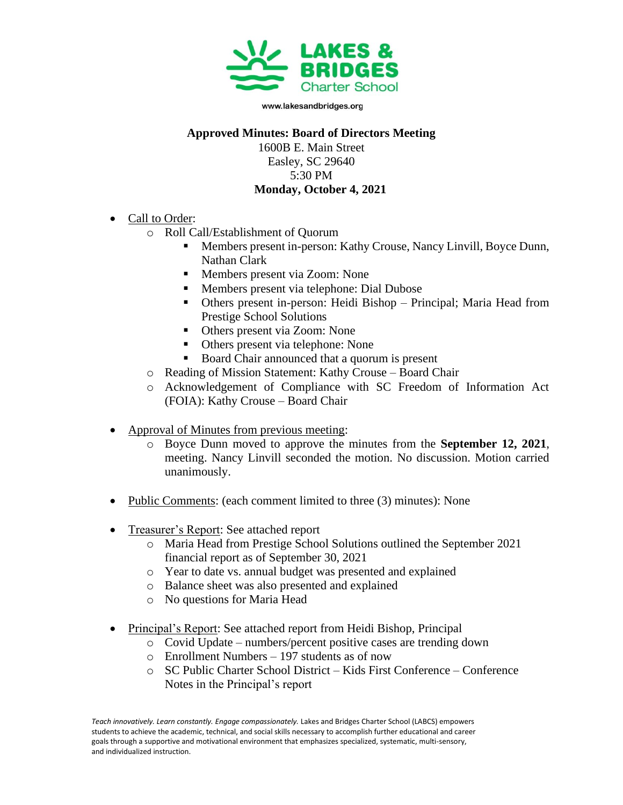

www.lakesandbridges.org

## **Approved Minutes: Board of Directors Meeting**

1600B E. Main Street Easley, SC 29640 5:30 PM **Monday, October 4, 2021**

- Call to Order:
	- o Roll Call/Establishment of Quorum
		- Members present in-person: Kathy Crouse, Nancy Linvill, Boyce Dunn, Nathan Clark
		- Members present via Zoom: None
		- Members present via telephone: Dial Dubose
		- Others present in-person: Heidi Bishop Principal; Maria Head from Prestige School Solutions
		- Others present via Zoom: None
		- Others present via telephone: None
		- Board Chair announced that a quorum is present
	- o Reading of Mission Statement: Kathy Crouse Board Chair
	- o Acknowledgement of Compliance with SC Freedom of Information Act (FOIA): Kathy Crouse – Board Chair
- Approval of Minutes from previous meeting:
	- o Boyce Dunn moved to approve the minutes from the **September 12, 2021**, meeting. Nancy Linvill seconded the motion. No discussion. Motion carried unanimously.
- Public Comments: (each comment limited to three (3) minutes): None
- Treasurer's Report: See attached report
	- o Maria Head from Prestige School Solutions outlined the September 2021 financial report as of September 30, 2021
	- o Year to date vs. annual budget was presented and explained
	- o Balance sheet was also presented and explained
	- o No questions for Maria Head
- Principal's Report: See attached report from Heidi Bishop, Principal
	- o Covid Update numbers/percent positive cases are trending down
	- o Enrollment Numbers 197 students as of now
	- o SC Public Charter School District Kids First Conference Conference Notes in the Principal's report

Teach innovatively. Learn constantly. Engage compassionately. Lakes and Bridges Charter School (LABCS) empowers students to achieve the academic, technical, and social skills necessary to accomplish further educational and career goals through a supportive and motivational environment that emphasizes specialized, systematic, multi-sensory, and individualized instruction.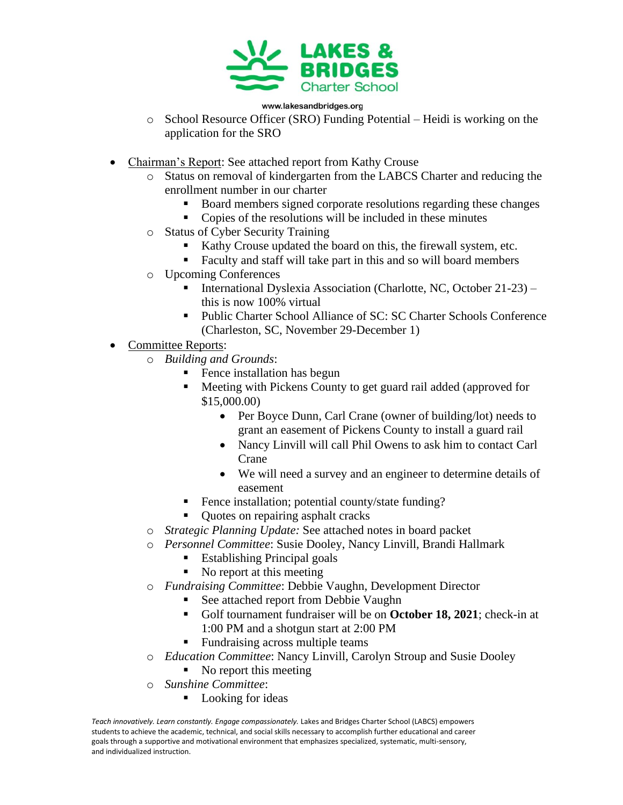

## www.lakesandbridges.org

- $\circ$  School Resource Officer (SRO) Funding Potential Heidi is working on the application for the SRO
- Chairman's Report: See attached report from Kathy Crouse
	- o Status on removal of kindergarten from the LABCS Charter and reducing the enrollment number in our charter
		- Board members signed corporate resolutions regarding these changes
		- Copies of the resolutions will be included in these minutes
	- o Status of Cyber Security Training
		- Kathy Crouse updated the board on this, the firewall system, etc.
		- Faculty and staff will take part in this and so will board members
	- o Upcoming Conferences
		- International Dyslexia Association (Charlotte, NC, October 21-23) this is now 100% virtual
		- Public Charter School Alliance of SC: SC Charter Schools Conference (Charleston, SC, November 29-December 1)
- Committee Reports:
	- o *Building and Grounds*:
		- Fence installation has begun
		- Meeting with Pickens County to get guard rail added (approved for \$15,000.00)
			- Per Boyce Dunn, Carl Crane (owner of building/lot) needs to grant an easement of Pickens County to install a guard rail
			- Nancy Linvill will call Phil Owens to ask him to contact Carl Crane
			- We will need a survey and an engineer to determine details of easement
		- Fence installation; potential county/state funding?
		- Quotes on repairing asphalt cracks
	- o *Strategic Planning Update:* See attached notes in board packet
	- o *Personnel Committee*: Susie Dooley, Nancy Linvill, Brandi Hallmark
		- Establishing Principal goals
		- No report at this meeting
	- o *Fundraising Committee*: Debbie Vaughn, Development Director
		- See attached report from Debbie Vaughn
		- Golf tournament fundraiser will be on **October 18, 2021**; check-in at 1:00 PM and a shotgun start at 2:00 PM
		- Fundraising across multiple teams
	- o *Education Committee*: Nancy Linvill, Carolyn Stroup and Susie Dooley
		- No report this meeting
	- o *Sunshine Committee*:
		- Looking for ideas

Teach innovatively. Learn constantly. Engage compassionately. Lakes and Bridges Charter School (LABCS) empowers students to achieve the academic, technical, and social skills necessary to accomplish further educational and career goals through a supportive and motivational environment that emphasizes specialized, systematic, multi-sensory, and individualized instruction.